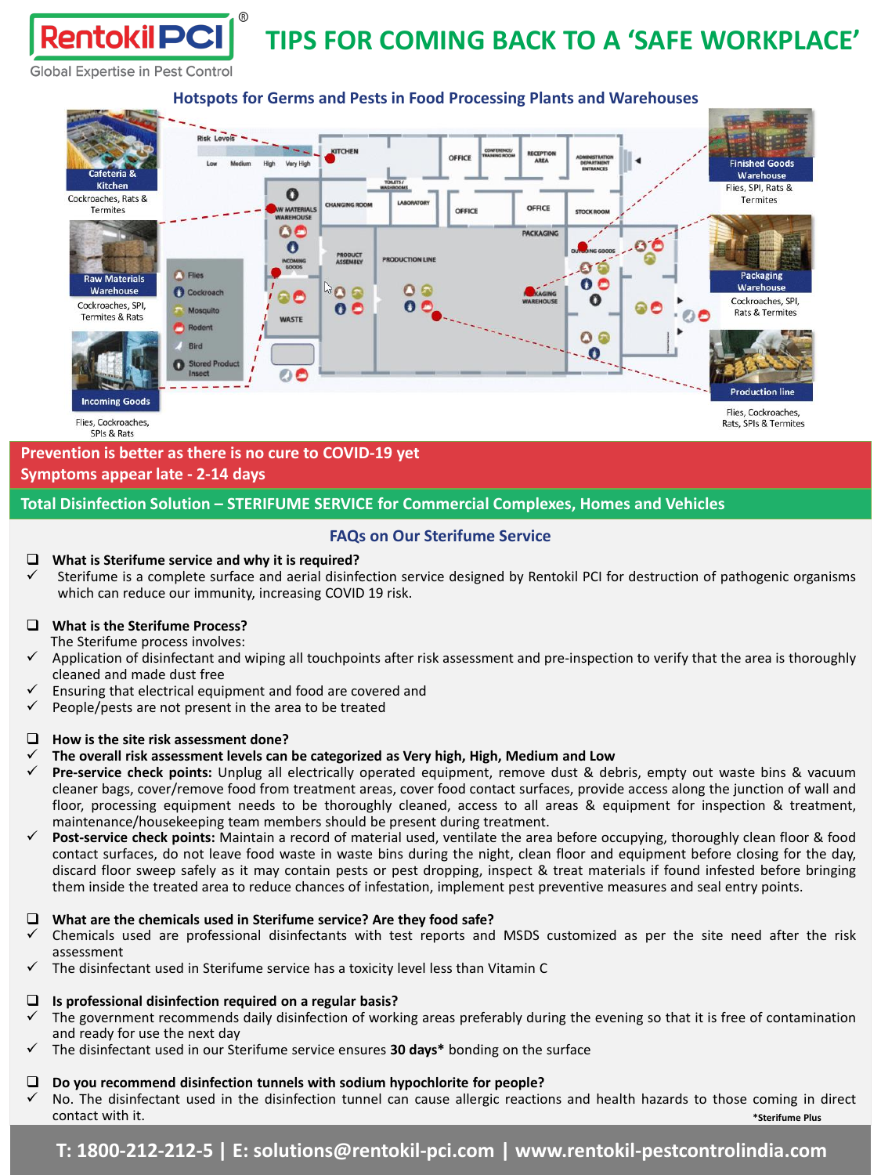#### **Global Expertise in Pest Control**

#### **Risk Levels** KITCHEN OFFICE Very High **Finished Goods** Warehouse **Kitchen** Flies, SPI, Rats & O Cockroaches, Rats & Termites **OFFICE** OFFICE **Termites WATERIALS DCKR**  $\mathbf 0$  $\bullet$ **PACKAGING** O **PRODUCT**<br>ASSEMBLY Ø 奋 **C** Flies Packaging **Raw Materials**  $\mathbf{o}\,\mathbf{o}$ Warehouse  $\mathbf{\Omega}$ Warehouse **O** Cockroach ၀ ေ n Cockroaches, SPI, Cockroaches, SPI, 00 Mosquito **Rats & Termites Termites & Rats WASTE** Rodent  $\circ$ Bird - 0 **Stored Pro** o **Production lin Incoming Goods** Flies, Cockroaches. Flies, Cockroaches, Rats, SPIs & Termites SPIs & Rats

### **Prevention is better as there is no cure to COVID-19 yet Symptoms appear late - 2-14 days**

#### **Total Disinfection Solution – STERIFUME SERVICE for Commercial Complexes, Homes and Vehicles**

#### **FAQs on Our Sterifume Service**

#### ❑ **What is Sterifume service and why it is required?**

Sterifume is a complete surface and aerial disinfection service designed by Rentokil PCI for destruction of pathogenic organisms which can reduce our immunity, increasing COVID 19 risk.

#### ❑ **What is the Sterifume Process?**

The Sterifume process involves:

- ✓ Application of disinfectant and wiping all touchpoints after risk assessment and pre-inspection to verify that the area is thoroughly cleaned and made dust free
- Ensuring that electrical equipment and food are covered and
- $\checkmark$  People/pests are not present in the area to be treated

#### ❑ **How is the site risk assessment done?**

- ✓ **The overall risk assessment levels can be categorized as Very high, High, Medium and Low**
- ✓ **Pre-service check points:** Unplug all electrically operated equipment, remove dust & debris, empty out waste bins & vacuum cleaner bags, cover/remove food from treatment areas, cover food contact surfaces, provide access along the junction of wall and floor, processing equipment needs to be thoroughly cleaned, access to all areas & equipment for inspection & treatment, maintenance/housekeeping team members should be present during treatment.
- ✓ **Post-service check points:** Maintain a record of material used, ventilate the area before occupying, thoroughly clean floor & food contact surfaces, do not leave food waste in waste bins during the night, clean floor and equipment before closing for the day, discard floor sweep safely as it may contain pests or pest dropping, inspect & treat materials if found infested before bringing them inside the treated area to reduce chances of infestation, implement pest preventive measures and seal entry points.

#### ❑ **What are the chemicals used in Sterifume service? Are they food safe?**

- ✓ Chemicals used are professional disinfectants with test reports and MSDS customized as per the site need after the risk assessment
- The disinfectant used in Sterifume service has a toxicity level less than Vitamin C

## ❑ **Is professional disinfection required on a regular basis?**

- The government recommends daily disinfection of working areas preferably during the evening so that it is free of contamination and ready for use the next day
- ✓ The disinfectant used in our Sterifume service ensures **30 days\*** bonding on the surface

## ❑ **Do you recommend disinfection tunnels with sodium hypochlorite for people?**

No. The disinfectant used in the disinfection tunnel can cause allergic reactions and health hazards to those coming in direct contact with it. **\*Sterifume Plus**

## **Hotspots for Germs and Pests in Food Processing Plants and Warehouses**

# **TIPS FOR COMING BACK TO A 'SAFE WORKPLACE'**